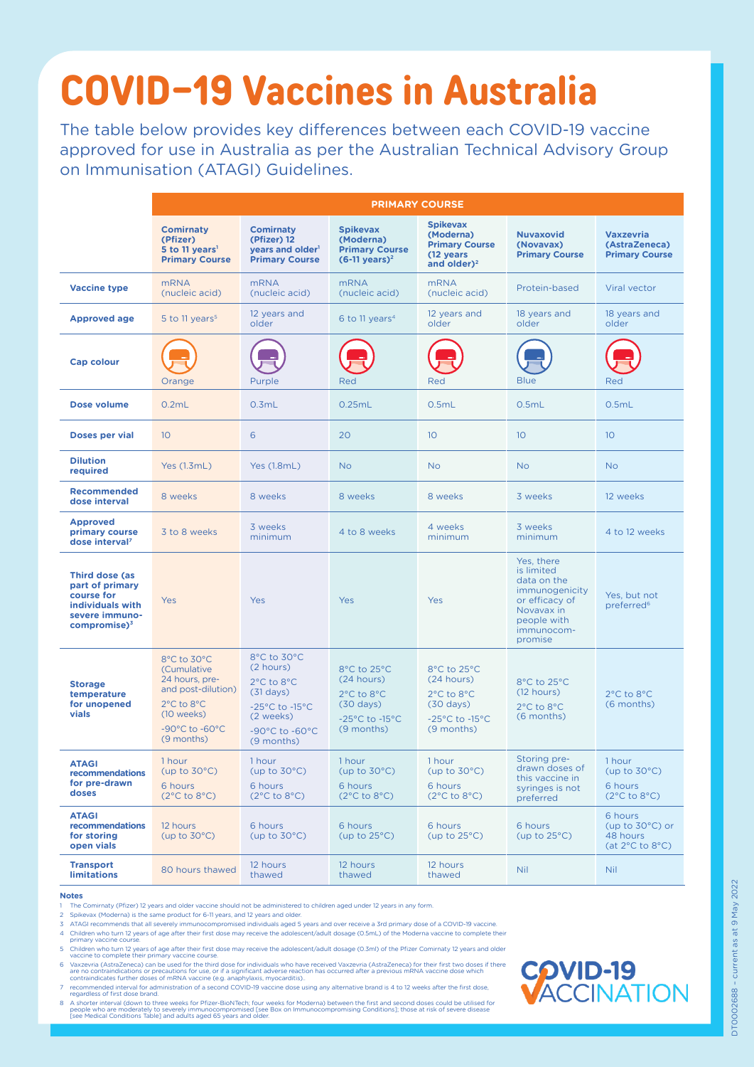## **COVID-19 Vaccines in Australia**

The table below provides key differences between each COVID-19 vaccine approved for use in Australia as per the Australian Technical Advisory Group on Immunisation (ATAGI) Guidelines.

|                                                                                                                          | <b>PRIMARY COURSE</b>                                                                                                          |                                                                                                                                                              |                                                                                                                    |                                                                                                                    |                                                                                                                                   |                                                                                      |
|--------------------------------------------------------------------------------------------------------------------------|--------------------------------------------------------------------------------------------------------------------------------|--------------------------------------------------------------------------------------------------------------------------------------------------------------|--------------------------------------------------------------------------------------------------------------------|--------------------------------------------------------------------------------------------------------------------|-----------------------------------------------------------------------------------------------------------------------------------|--------------------------------------------------------------------------------------|
|                                                                                                                          | <b>Comirnaty</b><br>(Pfizer)<br>5 to 11 years <sup>1</sup><br><b>Primary Course</b>                                            | <b>Comirnaty</b><br>(Pfizer) 12<br>years and older <sup>1</sup><br><b>Primary Course</b>                                                                     | <b>Spikevax</b><br>(Moderna)<br><b>Primary Course</b><br>$(6-11 \text{ years})^2$                                  | <b>Spikevax</b><br>(Moderna)<br><b>Primary Course</b><br>(12 years<br>and older) <sup>2</sup>                      | <b>Nuvaxovid</b><br>(Novavax)<br><b>Primary Course</b>                                                                            | <b>Vaxzevria</b><br>(AstraZeneca)<br><b>Primary Course</b>                           |
| <b>Vaccine type</b>                                                                                                      | <b>mRNA</b><br>(nucleic acid)                                                                                                  | <b>mRNA</b><br>(nucleic acid)                                                                                                                                | <b>mRNA</b><br>(nucleic acid)                                                                                      | <b>mRNA</b><br>(nucleic acid)                                                                                      | Protein-based                                                                                                                     | Viral vector                                                                         |
| <b>Approved age</b>                                                                                                      | 5 to 11 years <sup>5</sup>                                                                                                     | 12 years and<br>older                                                                                                                                        | 6 to 11 years <sup>4</sup>                                                                                         | 12 years and<br>older                                                                                              | 18 years and<br>older                                                                                                             | 18 years and<br>older                                                                |
| <b>Cap colour</b>                                                                                                        | Orange                                                                                                                         | Purple                                                                                                                                                       | Red                                                                                                                | Red                                                                                                                | <b>Blue</b>                                                                                                                       | Red                                                                                  |
| <b>Dose volume</b>                                                                                                       | 0.2mL                                                                                                                          | 0.3mL                                                                                                                                                        | 0.25mL                                                                                                             | 0.5mL                                                                                                              | 0.5mL                                                                                                                             | 0.5mL                                                                                |
| <b>Doses per vial</b>                                                                                                    | 10                                                                                                                             | 6                                                                                                                                                            | 20                                                                                                                 | 10                                                                                                                 | 10 <sup>°</sup>                                                                                                                   | 10                                                                                   |
| <b>Dilution</b><br>required                                                                                              | Yes (1.3mL)                                                                                                                    | <b>Yes (1.8mL)</b>                                                                                                                                           | <b>No</b>                                                                                                          | <b>No</b>                                                                                                          | <b>No</b>                                                                                                                         | <b>No</b>                                                                            |
| <b>Recommended</b><br>dose interval                                                                                      | 8 weeks                                                                                                                        | 8 weeks                                                                                                                                                      | 8 weeks                                                                                                            | 8 weeks                                                                                                            | 3 weeks                                                                                                                           | 12 weeks                                                                             |
| <b>Approved</b><br>primary course<br>dose interval <sup>7</sup>                                                          | 3 to 8 weeks                                                                                                                   | 3 weeks<br>minimum                                                                                                                                           | 4 to 8 weeks                                                                                                       | 4 weeks<br>minimum                                                                                                 | 3 weeks<br>minimum                                                                                                                | 4 to 12 weeks                                                                        |
| <b>Third dose (as</b><br>part of primary<br>course for<br>individuals with<br>severe immuno-<br>compromise) <sup>3</sup> | Yes                                                                                                                            | Yes                                                                                                                                                          | Yes                                                                                                                | Yes                                                                                                                | Yes, there<br>is limited<br>data on the<br>immunogenicity<br>or efficacy of<br>Novavax in<br>people with<br>immunocom-<br>promise | Yes, but not<br>preferred <sup>6</sup>                                               |
| <b>Storage</b><br>temperature<br>for unopened<br>vials                                                                   | 8°C to 30°C<br>(Cumulative<br>24 hours, pre-<br>and post-dilution)<br>2°C to 8°C<br>(10 weeks)<br>-90°C to -60°C<br>(9 months) | 8°C to 30°C<br>(2 hours)<br>2°C to 8°C<br>$(31$ days)<br>$-25^{\circ}$ C to $-15^{\circ}$ C<br>(2 weeks)<br>-90 $\degree$ C to -60 $\degree$ C<br>(9 months) | 8°C to 25°C<br>(24 hours)<br>2°C to 8°C<br>$(30 \text{ days})$<br>$-25^{\circ}$ C to $-15^{\circ}$ C<br>(9 months) | 8°C to 25°C<br>(24 hours)<br>2°C to 8°C<br>$(30 \text{ days})$<br>$-25^{\circ}$ C to $-15^{\circ}$ C<br>(9 months) | 8°C to 25°C<br>(12 hours)<br>2°C to 8°C<br>(6 months)                                                                             | 2°C to 8°C<br>(6 months)                                                             |
| <b>ATAGI</b><br>recommendations<br>for pre-drawn<br>doses                                                                | 1 hour<br>(up to $30^{\circ}$ C)<br>6 hours<br>$(2^{\circ}C \text{ to } 8^{\circ}C)$                                           | 1 hour<br>(up to $30^{\circ}$ C)<br>6 hours<br>$(2^{\circ}C \text{ to } 8^{\circ}C)$                                                                         | 1 hour<br>(up to $30^{\circ}$ C)<br>6 hours<br>$(2^{\circ}C \text{ to } 8^{\circ}C)$                               | 1 hour<br>(up to $30^{\circ}$ C)<br>6 hours<br>$(2^{\circ}C \text{ to } 8^{\circ}C)$                               | Storing pre-<br>drawn doses of<br>this vaccine in<br>syringes is not<br>preferred                                                 | 1 hour<br>(up to $30^{\circ}$ C)<br>6 hours<br>$(2^{\circ}C \text{ to } 8^{\circ}C)$ |

- 1 The Comirnaty (Pfizer) 12 years and older vaccine should not be administered to children aged under 12 years in any form.
- 2 Spikevax (Moderna) is the same product for 6-11 years, and 12 years and older.
- 3 ATAGI recommends that all severely immunocompromised individuals aged 5 years and over receive a 3rd primary dose of a COVID-19 vaccine.
- 4 Children who turn 12 years of age after their first dose may receive the adolescent/adult dosage (0.5mL) of the Moderna vaccine to complete their primary vaccine course.
- 5 Children who turn 12 years of age after their first dose may receive the adolescent/adult dosage (0.3ml) of the Pfizer Comirnaty 12 years and older vaccine to complete their primary vaccine course.
- 6 Vaxzevria (AstraZeneca) can be used for the third dose for individuals who have received Vaxzevria (AstraZeneca) for their first two doses if there are no contraindications or precautions for use, or if a significant adverse reaction has occurred after a previous mRNA vaccine dose which<br>contraindicates further doses of mRNA vaccine (e.g. anaphylaxis, myocarditis)..
- 7 recommended interval for administration of a second COVID-19 vaccine dose using any alternative brand is 4 to 12 weeks after the first dose, regardless of first dose brand.
- 8 A shorter interval (down to three weeks for Pfizer-BioNTech; four weeks for Moderna) between the first and second doses could be utilised for people who are moderately to severely immunocompromised [see [Box on Immunocompromising Conditions\]](https://www.health.gov.au/resources/publications/atagi-recommendations-on-the-use-of-a-third-primary-dose-of-covid-19-vaccine-in-individuals-who-are-severely-immunocompromised); those at risk of severe disease<br>[see [Medical Conditions Table](https://www.health.gov.au/initiatives-and-programs/covid-19-vaccines/advice-for-providers/clinical-guidance/clinical-features)] and adults aged 65 years and older.



| <b>ATAGI</b><br>recommendations<br>for storing<br>open vials | 12 hours<br>(up to $30^{\circ}$ C) | 6 hours<br>(up to $30^{\circ}$ C) | 6 hours<br>(up to $25^{\circ}$ C) | 6 hours<br>(up to $25^{\circ}$ C) | 6 hours<br>(up to $25^{\circ}$ C) | 6 hours<br>(up to $30^{\circ}$ C) or<br>48 hours<br>(at 2°C to 8°C) |
|--------------------------------------------------------------|------------------------------------|-----------------------------------|-----------------------------------|-----------------------------------|-----------------------------------|---------------------------------------------------------------------|
| <b>Transport</b><br><b>limitations</b>                       | 80 hours thawed                    | 12 hours<br>thawed                | 12 hours<br>thawed                | 12 hours<br>thawed                | <b>Nil</b>                        | <b>Nil</b>                                                          |

## **Notes**